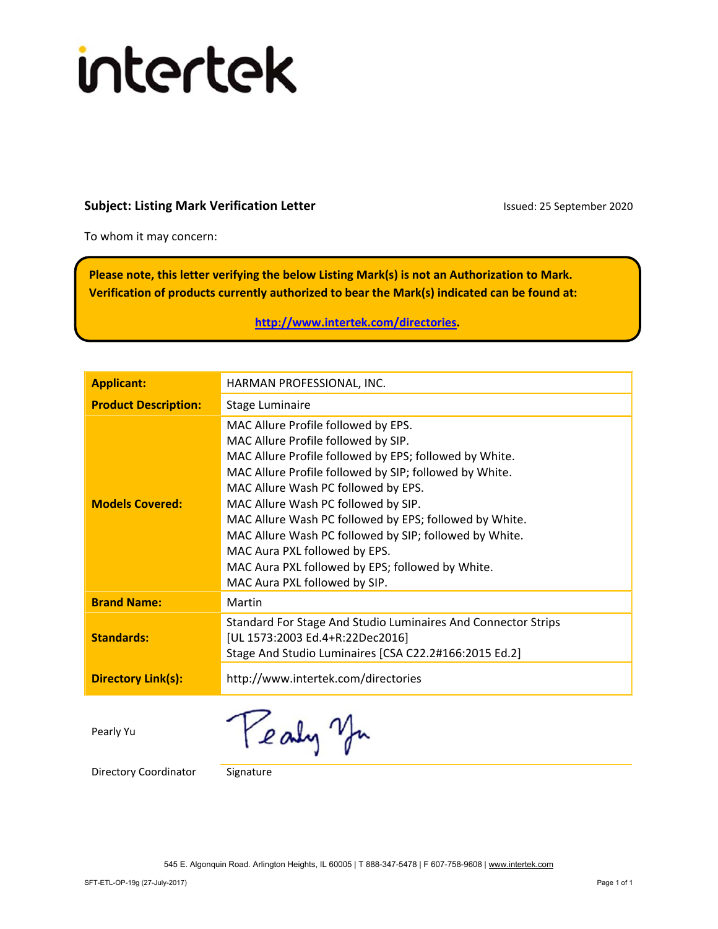## intertek

## **Subject: Listing Mark Verification Letter Integral 2020** Issued: 25 September 2020

To whom it may concern:

**Please note, this letter verifying the below Listing Mark(s) is not an Authorization to Mark. Verification of products currently authorized to bear the Mark(s) indicated can be found at:** 

**http://www.intertek.com/directories.** 

| <b>Applicant:</b>           | HARMAN PROFESSIONAL, INC.                                                                     |
|-----------------------------|-----------------------------------------------------------------------------------------------|
| <b>Product Description:</b> | Stage Luminaire                                                                               |
|                             | MAC Allure Profile followed by EPS.<br>MAC Allure Profile followed by SIP.                    |
|                             | MAC Allure Profile followed by EPS; followed by White.                                        |
|                             | MAC Allure Profile followed by SIP; followed by White.<br>MAC Allure Wash PC followed by EPS. |
| <b>Models Covered:</b>      | MAC Allure Wash PC followed by SIP.                                                           |
|                             | MAC Allure Wash PC followed by EPS; followed by White.                                        |
|                             | MAC Allure Wash PC followed by SIP; followed by White.                                        |
|                             | MAC Aura PXL followed by EPS.                                                                 |
|                             | MAC Aura PXL followed by EPS; followed by White.                                              |
|                             | MAC Aura PXL followed by SIP.                                                                 |
| <b>Brand Name:</b>          | Martin                                                                                        |
|                             | Standard For Stage And Studio Luminaires And Connector Strips                                 |
| <b>Standards:</b>           | [UL 1573:2003 Ed.4+R:22Dec2016]                                                               |
|                             | Stage And Studio Luminaires [CSA C22.2#166:2015 Ed.2]                                         |
| <b>Directory Link(s):</b>   | http://www.intertek.com/directories                                                           |
|                             |                                                                                               |

Pearly Yu

Pealy you

Directory Coordinator Signature

545 E. Algonquin Road. Arlington Heights, IL 60005 | T 888-347-5478 | F 607-758-9608 | www.intertek.com